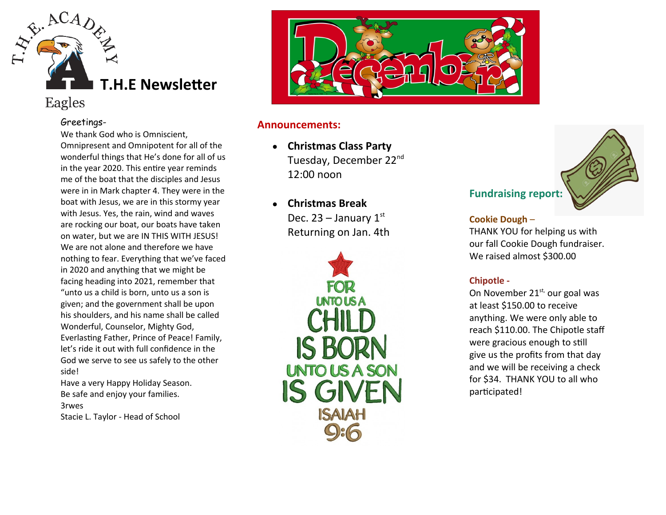

# Eagles

#### Greetings-

We thank God who is Omniscient, Omnipresent and Omnipotent for all of the wonderful things that He's done for all of us in the year 2020. This entire year reminds me of the boat that the disciples and Jesus were in in Mark chapter 4. They were in the boat with Jesus, we are in this stormy year with Jesus. Yes, the rain, wind and waves are rocking our boat, our boats have taken on water, but we are IN THIS WITH JESUS! We are not alone and therefore we have nothing to fear. Everything that we've faced in 2020 and anything that we might be facing heading into 2021, remember that "unto us a child is born, unto us a son is given; and the government shall be upon his shoulders, and his name shall be called Wonderful, Counselor, Mighty God, Everlasting Father, Prince of Peace! Family, let's ride it out with full confidence in the God we serve to see us safely to the other side!

Have a very Happy Holiday Season. Be safe and enjoy your families. 3rwes

Stacie L. Taylor - Head of School



### **Announcements:**

- **Christmas Class Party** Tuesday, December 22nd 12:00 noon
- **Christmas Break** Dec. 23 – January  $1<sup>st</sup>$ Returning on Jan. 4th





#### **Cookie Dough** –

THANK YOU for helping us with our fall Cookie Dough fundraiser. We raised almost \$300.00

# **Chipotle -**

On November  $21^{st}$ , our goal was at least \$150.00 to receive anything. We were only able to reach \$110.00. The Chipotle staff were gracious enough to still give us the profits from that day and we will be receiving a check for \$34. THANK YOU to all who participated!